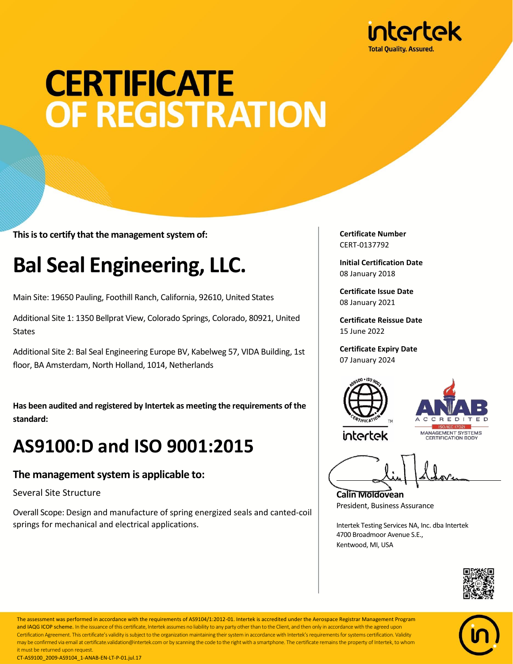

# **CERTIFICATE OF REGISTRATION**

**This is to certify that the management system of:**

### **Bal Seal Engineering, LLC.**

Main Site: 19650 Pauling, Foothill Ranch, California, 92610, United States

Additional Site 1: 1350 Bellprat View, Colorado Springs, Colorado, 80921, United **States** 

Additional Site 2: Bal Seal Engineering Europe BV, Kabelweg 57, VIDA Building, 1st floor, BA Amsterdam, North Holland, 1014, Netherlands

**Has been audited and registered by Intertek as meeting the requirements of the standard:**

### **AS9100:D and ISO 9001:2015**

#### **The management system is applicable to:**

Several Site Structure

Overall Scope: Design and manufacture of spring energized seals and canted-coil springs for mechanical and electrical applications.

**Certificate Number** CERT-0137792

**Initial Certification Date** 08 January 2018

**Certificate Issue Date** 08 January 2021

**Certificate Reissue Date** 15 June 2022

**Certificate Expiry Date** 07 January 2024





intertek

**Calin Moldovean** President, Business Assurance

Intertek Testing Services NA, Inc. dba Intertek 4700 Broadmoor Avenue S.E., Kentwood, MI, USA





The assessment was performed in accordance with the requirements of AS9104/1:2012-01. Intertek is accredited under the Aerospace Registrar Management Program and IAQG ICOP scheme. In the issuance of this certificate, Intertek assumes no liability to any party other than to the Client, and then only in accordance with the agreed upon Certification Agreement. This certificate's validity is subject to the organization maintaining their system in accordance with Intertek's requirements for systems certification. Validity may be confirmed via email at certificate.validation@intertek.com or by scanning the code to the right with a smartphone. The certificate remains the property of Intertek, to whom it must be returned upon request. CT-AS9100\_2009-AS9104\_1-ANAB-EN-LT-P-01.jul.17